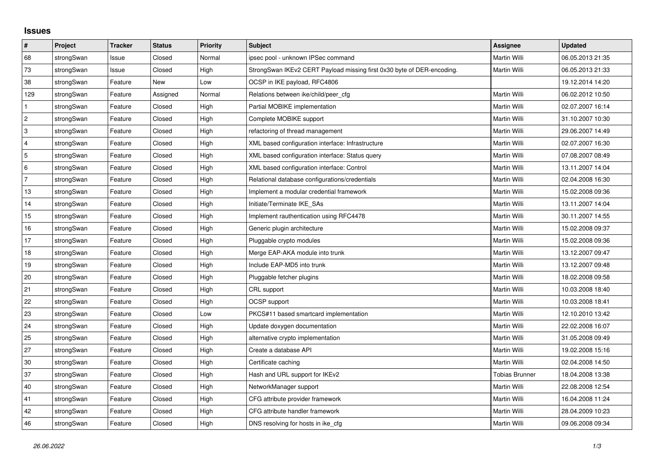## **Issues**

| #              | Project    | <b>Tracker</b> | <b>Status</b> | <b>Priority</b> | <b>Subject</b>                                                         | <b>Assignee</b>       | <b>Updated</b>   |
|----------------|------------|----------------|---------------|-----------------|------------------------------------------------------------------------|-----------------------|------------------|
| 68             | strongSwan | Issue          | Closed        | Normal          | ipsec pool - unknown IPSec command                                     | <b>Martin Willi</b>   | 06.05.2013 21:35 |
| 73             | strongSwan | Issue          | Closed        | High            | StrongSwan IKEv2 CERT Payload missing first 0x30 byte of DER-encoding. | Martin Willi          | 06.05.2013 21:33 |
| 38             | strongSwan | Feature        | <b>New</b>    | Low             | OCSP in IKE payload, RFC4806                                           |                       | 19.12.2014 14:20 |
| 129            | strongSwan | Feature        | Assigned      | Normal          | Relations between ike/child/peer cfg                                   | Martin Willi          | 06.02.2012 10:50 |
| $\mathbf{1}$   | strongSwan | Feature        | Closed        | High            | Partial MOBIKE implementation                                          | Martin Willi          | 02.07.2007 16:14 |
| $\overline{c}$ | strongSwan | Feature        | Closed        | High            | Complete MOBIKE support                                                | Martin Willi          | 31.10.2007 10:30 |
| 3              | strongSwan | Feature        | Closed        | High            | refactoring of thread management                                       | Martin Willi          | 29.06.2007 14:49 |
| $\overline{4}$ | strongSwan | Feature        | Closed        | High            | XML based configuration interface: Infrastructure                      | Martin Willi          | 02.07.2007 16:30 |
| 5              | strongSwan | Feature        | Closed        | High            | XML based configuration interface: Status query                        | Martin Willi          | 07.08.2007 08:49 |
| 6              | strongSwan | Feature        | Closed        | High            | XML based configuration interface: Control                             | Martin Willi          | 13.11.2007 14:04 |
| $\overline{7}$ | strongSwan | Feature        | Closed        | High            | Relational database configurations/credentials                         | Martin Willi          | 02.04.2008 16:30 |
| 13             | strongSwan | Feature        | Closed        | High            | Implement a modular credential framework                               | Martin Willi          | 15.02.2008 09:36 |
| 14             | strongSwan | Feature        | Closed        | High            | Initiate/Terminate IKE SAs                                             | Martin Willi          | 13.11.2007 14:04 |
| 15             | strongSwan | Feature        | Closed        | High            | Implement rauthentication using RFC4478                                | Martin Willi          | 30.11.2007 14:55 |
| 16             | strongSwan | Feature        | Closed        | High            | Generic plugin architecture                                            | Martin Willi          | 15.02.2008 09:37 |
| 17             | strongSwan | Feature        | Closed        | High            | Pluggable crypto modules                                               | Martin Willi          | 15.02.2008 09:36 |
| $18$           | strongSwan | Feature        | Closed        | High            | Merge EAP-AKA module into trunk                                        | Martin Willi          | 13.12.2007 09:47 |
| 19             | strongSwan | Feature        | Closed        | High            | Include EAP-MD5 into trunk                                             | Martin Willi          | 13.12.2007 09:48 |
| 20             | strongSwan | Feature        | Closed        | High            | Pluggable fetcher plugins                                              | Martin Willi          | 18.02.2008 09:58 |
| 21             | strongSwan | Feature        | Closed        | High            | CRL support                                                            | Martin Willi          | 10.03.2008 18:40 |
| 22             | strongSwan | Feature        | Closed        | High            | <b>OCSP</b> support                                                    | Martin Willi          | 10.03.2008 18:41 |
| 23             | strongSwan | Feature        | Closed        | Low             | PKCS#11 based smartcard implementation                                 | Martin Willi          | 12.10.2010 13:42 |
| $ 24\rangle$   | strongSwan | Feature        | Closed        | High            | Update doxygen documentation                                           | Martin Willi          | 22.02.2008 16:07 |
| 25             | strongSwan | Feature        | Closed        | High            | alternative crypto implementation                                      | Martin Willi          | 31.05.2008 09:49 |
| 27             | strongSwan | Feature        | Closed        | High            | Create a database API                                                  | Martin Willi          | 19.02.2008 15:16 |
| 30             | strongSwan | Feature        | Closed        | High            | Certificate caching                                                    | Martin Willi          | 02.04.2008 14:50 |
| 37             | strongSwan | Feature        | Closed        | High            | Hash and URL support for IKEv2                                         | <b>Tobias Brunner</b> | 18.04.2008 13:38 |
| $40\,$         | strongSwan | Feature        | Closed        | High            | NetworkManager support                                                 | Martin Willi          | 22.08.2008 12:54 |
| 41             | strongSwan | Feature        | Closed        | High            | CFG attribute provider framework                                       | Martin Willi          | 16.04.2008 11:24 |
| 42             | strongSwan | Feature        | Closed        | High            | CFG attribute handler framework                                        | Martin Willi          | 28.04.2009 10:23 |
| 46             | strongSwan | Feature        | Closed        | High            | DNS resolving for hosts in ike_cfg                                     | Martin Willi          | 09.06.2008 09:34 |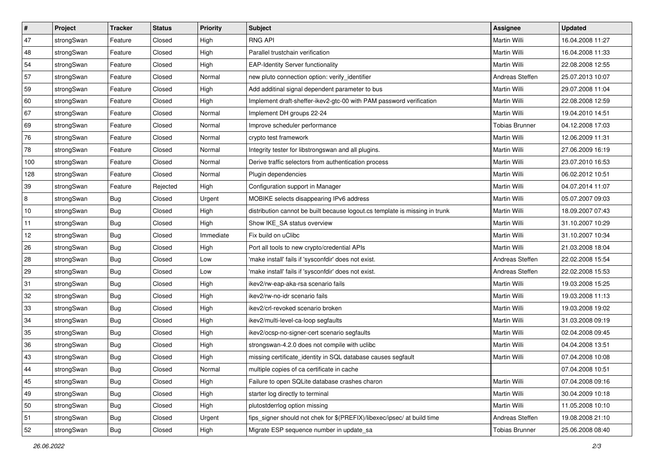| $\vert$ # | Project    | <b>Tracker</b> | <b>Status</b> | <b>Priority</b> | <b>Subject</b>                                                              | Assignee              | <b>Updated</b>   |
|-----------|------------|----------------|---------------|-----------------|-----------------------------------------------------------------------------|-----------------------|------------------|
| 47        | strongSwan | Feature        | Closed        | High            | <b>RNG API</b>                                                              | Martin Willi          | 16.04.2008 11:27 |
| 48        | strongSwan | Feature        | Closed        | High            | Parallel trustchain verification                                            | <b>Martin Willi</b>   | 16.04.2008 11:33 |
| 54        | strongSwan | Feature        | Closed        | High            | <b>EAP-Identity Server functionality</b>                                    | Martin Willi          | 22.08.2008 12:55 |
| 57        | strongSwan | Feature        | Closed        | Normal          | new pluto connection option: verify identifier                              | Andreas Steffen       | 25.07.2013 10:07 |
| 59        | strongSwan | Feature        | Closed        | High            | Add additinal signal dependent parameter to bus                             | Martin Willi          | 29.07.2008 11:04 |
| 60        | strongSwan | Feature        | Closed        | High            | Implement draft-sheffer-ikev2-gtc-00 with PAM password verification         | Martin Willi          | 22.08.2008 12:59 |
| 67        | strongSwan | Feature        | Closed        | Normal          | Implement DH groups 22-24                                                   | Martin Willi          | 19.04.2010 14:51 |
| 69        | strongSwan | Feature        | Closed        | Normal          | Improve scheduler performance                                               | <b>Tobias Brunner</b> | 04.12.2008 17:03 |
| 76        | strongSwan | Feature        | Closed        | Normal          | crypto test framework                                                       | Martin Willi          | 12.06.2009 11:31 |
| 78        | strongSwan | Feature        | Closed        | Normal          | Integrity tester for libstrongswan and all plugins.                         | Martin Willi          | 27.06.2009 16:19 |
| 100       | strongSwan | Feature        | Closed        | Normal          | Derive traffic selectors from authentication process                        | Martin Willi          | 23.07.2010 16:53 |
| 128       | strongSwan | Feature        | Closed        | Normal          | Plugin dependencies                                                         | Martin Willi          | 06.02.2012 10:51 |
| 39        | strongSwan | Feature        | Rejected      | High            | Configuration support in Manager                                            | <b>Martin Willi</b>   | 04.07.2014 11:07 |
| 8         | strongSwan | <b>Bug</b>     | Closed        | Urgent          | MOBIKE selects disappearing IPv6 address                                    | Martin Willi          | 05.07.2007 09:03 |
| 10        | strongSwan | Bug            | Closed        | High            | distribution cannot be built because logout.cs template is missing in trunk | Martin Willi          | 18.09.2007 07:43 |
| 11        | strongSwan | <b>Bug</b>     | Closed        | High            | Show IKE_SA status overview                                                 | Martin Willi          | 31.10.2007 10:29 |
| 12        | strongSwan | <b>Bug</b>     | Closed        | Immediate       | Fix build on uClibc                                                         | <b>Martin Willi</b>   | 31.10.2007 10:34 |
| 26        | strongSwan | Bug            | Closed        | High            | Port all tools to new crypto/credential APIs                                | <b>Martin Willi</b>   | 21.03.2008 18:04 |
| 28        | strongSwan | Bug            | Closed        | Low             | 'make install' fails if 'sysconfdir' does not exist.                        | Andreas Steffen       | 22.02.2008 15:54 |
| 29        | strongSwan | Bug            | Closed        | Low             | 'make install' fails if 'sysconfdir' does not exist.                        | Andreas Steffen       | 22.02.2008 15:53 |
| 31        | strongSwan | Bug            | Closed        | High            | ikev2/rw-eap-aka-rsa scenario fails                                         | Martin Willi          | 19.03.2008 15:25 |
| 32        | strongSwan | <b>Bug</b>     | Closed        | High            | ikev2/rw-no-idr scenario fails                                              | Martin Willi          | 19.03.2008 11:13 |
| 33        | strongSwan | Bug            | Closed        | High            | ikev2/crl-revoked scenario broken                                           | Martin Willi          | 19.03.2008 19:02 |
| 34        | strongSwan | Bug            | Closed        | High            | ikev2/multi-level-ca-loop segfaults                                         | Martin Willi          | 31.03.2008 09:19 |
| 35        | strongSwan | <b>Bug</b>     | Closed        | High            | ikev2/ocsp-no-signer-cert scenario segfaults                                | Martin Willi          | 02.04.2008 09:45 |
| 36        | strongSwan | Bug            | Closed        | High            | strongswan-4.2.0 does not compile with uclibc                               | Martin Willi          | 04.04.2008 13:51 |
| 43        | strongSwan | Bug            | Closed        | High            | missing certificate identity in SQL database causes segfault                | Martin Willi          | 07.04.2008 10:08 |
| 44        | strongSwan | Bug            | Closed        | Normal          | multiple copies of ca certificate in cache                                  |                       | 07.04.2008 10:51 |
| 45        | strongSwan | Bug            | Closed        | High            | Failure to open SQLite database crashes charon                              | Martin Willi          | 07.04.2008 09:16 |
| 49        | strongSwan | Bug            | Closed        | High            | starter log directly to terminal                                            | Martin Willi          | 30.04.2009 10:18 |
| 50        | strongSwan | Bug            | Closed        | High            | plutostderrlog option missing                                               | Martin Willi          | 11.05.2008 10:10 |
| 51        | strongSwan | Bug            | Closed        | Urgent          | fips signer should not chek for \$(PREFIX)/libexec/ipsec/ at build time     | Andreas Steffen       | 19.08.2008 21:10 |
| 52        | strongSwan | <b>Bug</b>     | Closed        | High            | Migrate ESP sequence number in update_sa                                    | <b>Tobias Brunner</b> | 25.06.2008 08:40 |